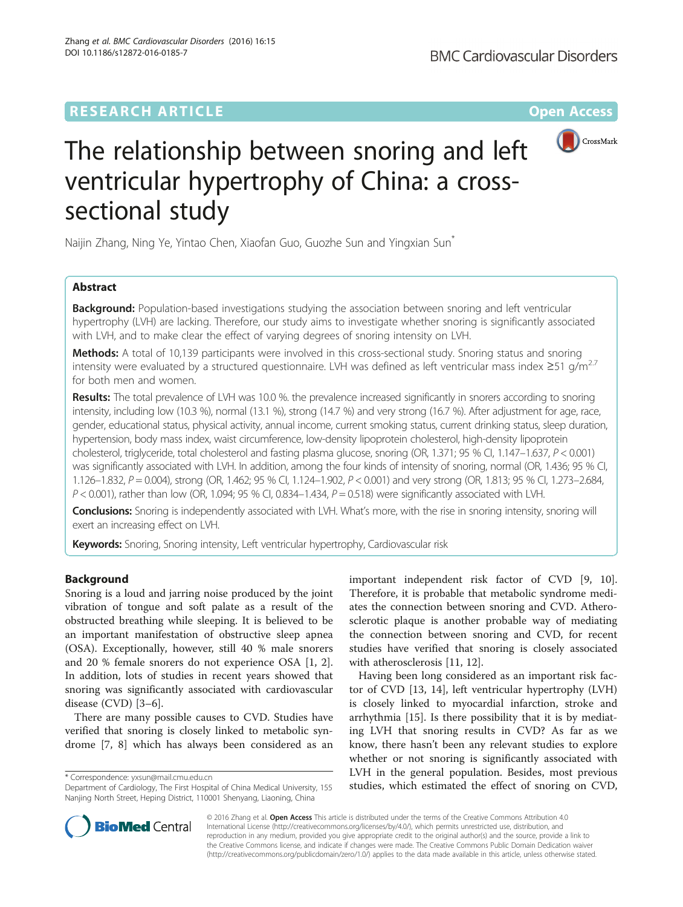## **RESEARCH ARTICLE External Structure Community Community Community Community Community Community Community Community**



# The relationship between snoring and left ventricular hypertrophy of China: a crosssectional study

Naijin Zhang, Ning Ye, Yintao Chen, Xiaofan Guo, Guozhe Sun and Yingxian Sun\*

## Abstract

**Background:** Population-based investigations studying the association between snoring and left ventricular hypertrophy (LVH) are lacking. Therefore, our study aims to investigate whether snoring is significantly associated with LVH, and to make clear the effect of varying degrees of snoring intensity on LVH.

Methods: A total of 10,139 participants were involved in this cross-sectional study. Snoring status and snoring intensity were evaluated by a structured questionnaire. LVH was defined as left ventricular mass index ≥51 g/m2.7 for both men and women.

Results: The total prevalence of LVH was 10.0 %. the prevalence increased significantly in snorers according to snoring intensity, including low (10.3 %), normal (13.1 %), strong (14.7 %) and very strong (16.7 %). After adjustment for age, race, gender, educational status, physical activity, annual income, current smoking status, current drinking status, sleep duration, hypertension, body mass index, waist circumference, low-density lipoprotein cholesterol, high-density lipoprotein cholesterol, triglyceride, total cholesterol and fasting plasma glucose, snoring (OR, 1.371; 95 % CI, 1.147–1.637, P < 0.001) was significantly associated with LVH. In addition, among the four kinds of intensity of snoring, normal (OR, 1.436; 95 % CI, 1.126–1.832, P = 0.004), strong (OR, 1.462; 95 % Cl, 1.124–1.902, P < 0.001) and very strong (OR, 1.813; 95 % Cl, 1.273–2.684,  $P < 0.001$ ), rather than low (OR, 1.094; 95 % CI, 0.834-1.434,  $P = 0.518$ ) were significantly associated with LVH.

Conclusions: Snoring is independently associated with LVH. What's more, with the rise in snoring intensity, snoring will exert an increasing effect on LVH.

Keywords: Snoring, Snoring intensity, Left ventricular hypertrophy, Cardiovascular risk

## Background

Snoring is a loud and jarring noise produced by the joint vibration of tongue and soft palate as a result of the obstructed breathing while sleeping. It is believed to be an important manifestation of obstructive sleep apnea (OSA). Exceptionally, however, still 40 % male snorers and 20 % female snorers do not experience OSA [\[1](#page-6-0), [2](#page-6-0)]. In addition, lots of studies in recent years showed that snoring was significantly associated with cardiovascular disease (CVD) [[3](#page-6-0)–[6](#page-6-0)].

There are many possible causes to CVD. Studies have verified that snoring is closely linked to metabolic syndrome [\[7](#page-6-0), [8\]](#page-6-0) which has always been considered as an

important independent risk factor of CVD [\[9](#page-6-0), [10](#page-6-0)]. Therefore, it is probable that metabolic syndrome mediates the connection between snoring and CVD. Atherosclerotic plaque is another probable way of mediating the connection between snoring and CVD, for recent studies have verified that snoring is closely associated with atherosclerosis [[11, 12\]](#page-6-0).

Having been long considered as an important risk factor of CVD [\[13, 14\]](#page-6-0), left ventricular hypertrophy (LVH) is closely linked to myocardial infarction, stroke and arrhythmia [[15](#page-6-0)]. Is there possibility that it is by mediating LVH that snoring results in CVD? As far as we know, there hasn't been any relevant studies to explore whether or not snoring is significantly associated with LVH in the general population. Besides, most previous studies, which in the general population. Desides, invitations previous<br>Department of Cardiology, The First Hospital of China Medical University, 155 studies, which estimated the effect of snoring on CVD,



© 2016 Zhang et al. Open Access This article is distributed under the terms of the Creative Commons Attribution 4.0 International License [\(http://creativecommons.org/licenses/by/4.0/](http://creativecommons.org/licenses/by/4.0/)), which permits unrestricted use, distribution, and reproduction in any medium, provided you give appropriate credit to the original author(s) and the source, provide a link to the Creative Commons license, and indicate if changes were made. The Creative Commons Public Domain Dedication waiver [\(http://creativecommons.org/publicdomain/zero/1.0/](http://creativecommons.org/publicdomain/zero/1.0/)) applies to the data made available in this article, unless otherwise stated.

Department of Cardiology, The First Hospital of China Medical University, 155 Nanjing North Street, Heping District, 110001 Shenyang, Liaoning, China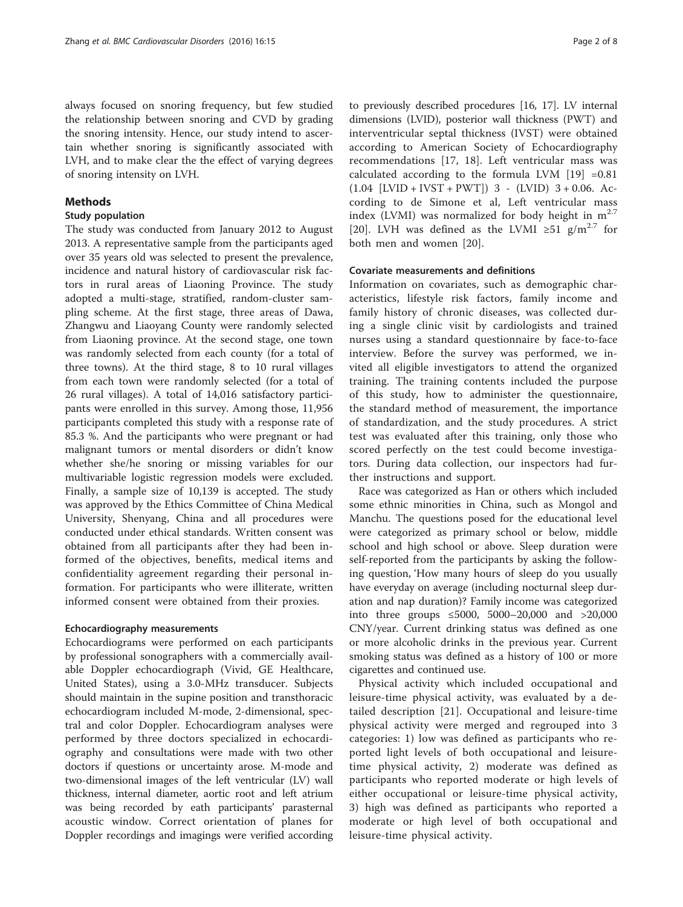always focused on snoring frequency, but few studied the relationship between snoring and CVD by grading the snoring intensity. Hence, our study intend to ascertain whether snoring is significantly associated with LVH, and to make clear the the effect of varying degrees of snoring intensity on LVH.

## Methods

### Study population

The study was conducted from January 2012 to August 2013. A representative sample from the participants aged over 35 years old was selected to present the prevalence, incidence and natural history of cardiovascular risk factors in rural areas of Liaoning Province. The study adopted a multi-stage, stratified, random-cluster sampling scheme. At the first stage, three areas of Dawa, Zhangwu and Liaoyang County were randomly selected from Liaoning province. At the second stage, one town was randomly selected from each county (for a total of three towns). At the third stage, 8 to 10 rural villages from each town were randomly selected (for a total of 26 rural villages). A total of 14,016 satisfactory participants were enrolled in this survey. Among those, 11,956 participants completed this study with a response rate of 85.3 %. And the participants who were pregnant or had malignant tumors or mental disorders or didn't know whether she/he snoring or missing variables for our multivariable logistic regression models were excluded. Finally, a sample size of 10,139 is accepted. The study was approved by the Ethics Committee of China Medical University, Shenyang, China and all procedures were conducted under ethical standards. Written consent was obtained from all participants after they had been informed of the objectives, benefits, medical items and confidentiality agreement regarding their personal information. For participants who were illiterate, written informed consent were obtained from their proxies.

## Echocardiography measurements

Echocardiograms were performed on each participants by professional sonographers with a commercially available Doppler echocardiograph (Vivid, GE Healthcare, United States), using a 3.0-MHz transducer. Subjects should maintain in the supine position and transthoracic echocardiogram included M-mode, 2-dimensional, spectral and color Doppler. Echocardiogram analyses were performed by three doctors specialized in echocardiography and consultations were made with two other doctors if questions or uncertainty arose. M-mode and two-dimensional images of the left ventricular (LV) wall thickness, internal diameter, aortic root and left atrium was being recorded by eath participants' parasternal acoustic window. Correct orientation of planes for Doppler recordings and imagings were verified according

to previously described procedures [[16](#page-6-0), [17](#page-6-0)]. LV internal dimensions (LVID), posterior wall thickness (PWT) and interventricular septal thickness (IVST) were obtained according to American Society of Echocardiography recommendations [[17, 18](#page-6-0)]. Left ventricular mass was calculated according to the formula LVM  $[19] = 0.81$  $[19] = 0.81$  $[19] = 0.81$  $(1.04$  [LVID + IVST + PWT]) 3 - (LVID) 3 + 0.06. According to de Simone et al, Left ventricular mass index (LVMI) was normalized for body height in  $m^{2.7}$ [[20](#page-6-0)]. LVH was defined as the LVMI ≥51 g/m<sup>2.7</sup> for both men and women [[20\]](#page-6-0).

#### Covariate measurements and definitions

Information on covariates, such as demographic characteristics, lifestyle risk factors, family income and family history of chronic diseases, was collected during a single clinic visit by cardiologists and trained nurses using a standard questionnaire by face-to-face interview. Before the survey was performed, we invited all eligible investigators to attend the organized training. The training contents included the purpose of this study, how to administer the questionnaire, the standard method of measurement, the importance of standardization, and the study procedures. A strict test was evaluated after this training, only those who scored perfectly on the test could become investigators. During data collection, our inspectors had further instructions and support.

Race was categorized as Han or others which included some ethnic minorities in China, such as Mongol and Manchu. The questions posed for the educational level were categorized as primary school or below, middle school and high school or above. Sleep duration were self-reported from the participants by asking the following question, 'How many hours of sleep do you usually have everyday on average (including nocturnal sleep duration and nap duration)? Family income was categorized into three groups ≤5000, 5000–20,000 and >20,000 CNY/year. Current drinking status was defined as one or more alcoholic drinks in the previous year. Current smoking status was defined as a history of 100 or more cigarettes and continued use.

Physical activity which included occupational and leisure-time physical activity, was evaluated by a detailed description [\[21](#page-6-0)]. Occupational and leisure-time physical activity were merged and regrouped into 3 categories: 1) low was defined as participants who reported light levels of both occupational and leisuretime physical activity, 2) moderate was defined as participants who reported moderate or high levels of either occupational or leisure-time physical activity, 3) high was defined as participants who reported a moderate or high level of both occupational and leisure-time physical activity.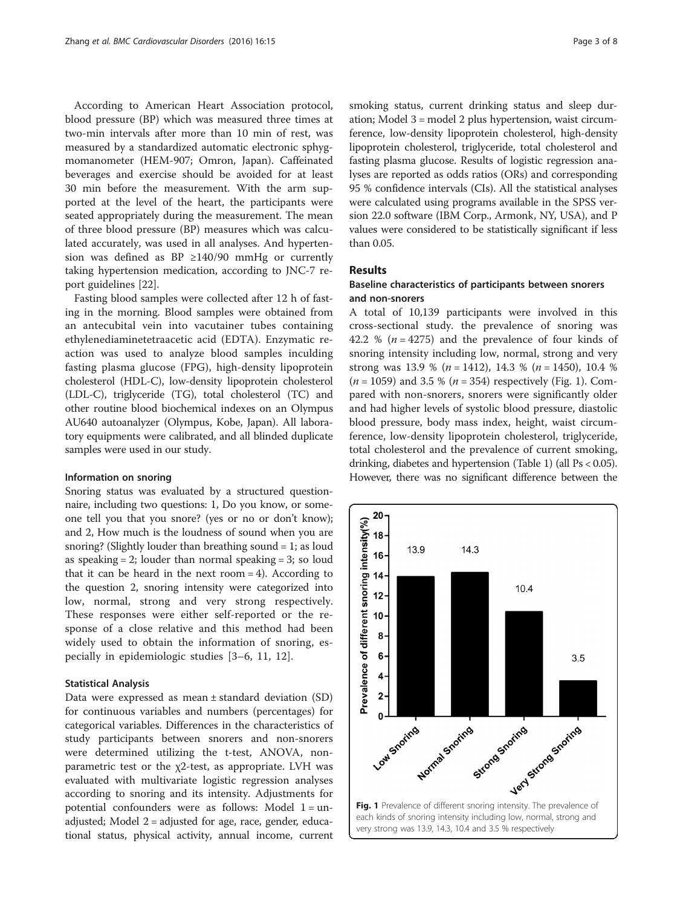According to American Heart Association protocol, blood pressure (BP) which was measured three times at two-min intervals after more than 10 min of rest, was measured by a standardized automatic electronic sphygmomanometer (HEM-907; Omron, Japan). Caffeinated beverages and exercise should be avoided for at least 30 min before the measurement. With the arm supported at the level of the heart, the participants were seated appropriately during the measurement. The mean of three blood pressure (BP) measures which was calculated accurately, was used in all analyses. And hypertension was defined as BP ≥140/90 mmHg or currently taking hypertension medication, according to JNC-7 report guidelines [[22\]](#page-7-0).

Fasting blood samples were collected after 12 h of fasting in the morning. Blood samples were obtained from an antecubital vein into vacutainer tubes containing ethylenediaminetetraacetic acid (EDTA). Enzymatic reaction was used to analyze blood samples inculding fasting plasma glucose (FPG), high-density lipoprotein cholesterol (HDL-C), low-density lipoprotein cholesterol (LDL-C), triglyceride (TG), total cholesterol (TC) and other routine blood biochemical indexes on an Olympus AU640 autoanalyzer (Olympus, Kobe, Japan). All laboratory equipments were calibrated, and all blinded duplicate samples were used in our study.

#### Information on snoring

Snoring status was evaluated by a structured questionnaire, including two questions: 1, Do you know, or someone tell you that you snore? (yes or no or don't know); and 2, How much is the loudness of sound when you are snoring? (Slightly louder than breathing sound = 1; as loud as speaking  $= 2$ ; louder than normal speaking  $= 3$ ; so loud that it can be heard in the next room  $= 4$ ). According to the question 2, snoring intensity were categorized into low, normal, strong and very strong respectively. These responses were either self-reported or the response of a close relative and this method had been widely used to obtain the information of snoring, especially in epidemiologic studies [[3](#page-6-0)–[6](#page-6-0), [11](#page-6-0), [12](#page-6-0)].

#### Statistical Analysis

Data were expressed as mean ± standard deviation (SD) for continuous variables and numbers (percentages) for categorical variables. Differences in the characteristics of study participants between snorers and non-snorers were determined utilizing the t-test, ANOVA, nonparametric test or the  $\chi$ 2-test, as appropriate. LVH was evaluated with multivariate logistic regression analyses according to snoring and its intensity. Adjustments for potential confounders were as follows: Model  $1 =$ unadjusted; Model 2 = adjusted for age, race, gender, educational status, physical activity, annual income, current smoking status, current drinking status and sleep duration; Model 3 = model 2 plus hypertension, waist circumference, low-density lipoprotein cholesterol, high-density lipoprotein cholesterol, triglyceride, total cholesterol and fasting plasma glucose. Results of logistic regression analyses are reported as odds ratios (ORs) and corresponding 95 % confidence intervals (CIs). All the statistical analyses were calculated using programs available in the SPSS version 22.0 software (IBM Corp., Armonk, NY, USA), and P values were considered to be statistically significant if less than 0.05.

#### Results

## Baseline characteristics of participants between snorers and non-snorers

A total of 10,139 participants were involved in this cross-sectional study. the prevalence of snoring was 42.2 % ( $n = 4275$ ) and the prevalence of four kinds of snoring intensity including low, normal, strong and very strong was 13.9 % ( $n = 1412$ ), 14.3 % ( $n = 1450$ ), 10.4 %  $(n = 1059)$  and 3.5 %  $(n = 354)$  respectively (Fig. 1). Compared with non-snorers, snorers were significantly older and had higher levels of systolic blood pressure, diastolic blood pressure, body mass index, height, waist circumference, low-density lipoprotein cholesterol, triglyceride, total cholesterol and the prevalence of current smoking, drinking, diabetes and hypertension (Table [1](#page-3-0)) (all Ps < 0.05). However, there was no significant difference between the

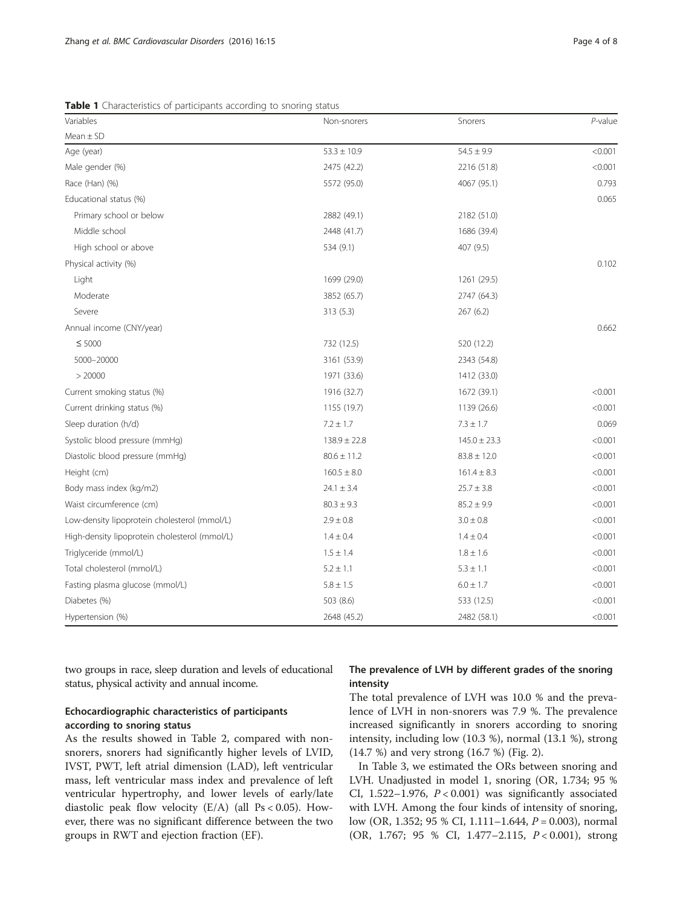| Variables                | Non-snorers     | Snorers        | $P$ -value |  |
|--------------------------|-----------------|----------------|------------|--|
| $Mean \pm SD$            |                 |                |            |  |
| Age (year)               | $53.3 \pm 10.9$ | $54.5 \pm 9.9$ | < 0.001    |  |
| Male gender (%)          | 2475 (42.2)     | 2216 (51.8)    | < 0.001    |  |
| Race (Han) (%)           | 5572 (95.0)     | 4067 (95.1)    | 0.793      |  |
| Educational status (%)   |                 |                | 0.065      |  |
| Primary school or below  | 2882 (49.1)     | 2182 (51.0)    |            |  |
| Middle school            | 2448 (41.7)     | 1686 (39.4)    |            |  |
| High school or above     | 534 (9.1)       | 407 (9.5)      |            |  |
| Physical activity (%)    |                 |                | 0.102      |  |
| Light                    | 1699 (29.0)     | 1261 (29.5)    |            |  |
| Moderate                 | 3852 (65.7)     | 2747 (64.3)    |            |  |
| Severe                   | 313(5.3)        | 267(6.2)       |            |  |
| Annual income (CNY/year) |                 |                | 0.662      |  |
|                          |                 |                |            |  |

<span id="page-3-0"></span>Table 1 Characteristics of participants according to snoring status

| 2882 (49.1)      | 2182 (51.0)      |         |
|------------------|------------------|---------|
| 2448 (41.7)      | 1686 (39.4)      |         |
| 534 (9.1)        | 407 (9.5)        |         |
|                  |                  | 0.102   |
| 1699 (29.0)      | 1261 (29.5)      |         |
| 3852 (65.7)      | 2747 (64.3)      |         |
| 313 (5.3)        | 267(6.2)         |         |
|                  |                  | 0.662   |
| 732 (12.5)       | 520 (12.2)       |         |
| 3161 (53.9)      | 2343 (54.8)      |         |
| 1971 (33.6)      | 1412 (33.0)      |         |
| 1916 (32.7)      | 1672 (39.1)      | < 0.001 |
| 1155 (19.7)      | 1139 (26.6)      | < 0.001 |
| $7.2 \pm 1.7$    | $7.3 \pm 1.7$    | 0.069   |
| $138.9 \pm 22.8$ | $145.0 \pm 23.3$ | < 0.001 |
| $80.6 \pm 11.2$  | $83.8 \pm 12.0$  | < 0.001 |
| $160.5 \pm 8.0$  | $161.4 \pm 8.3$  | < 0.001 |
| $24.1 \pm 3.4$   | $25.7 \pm 3.8$   | < 0.001 |
| $80.3 \pm 9.3$   | $85.2 \pm 9.9$   | < 0.001 |
| $2.9 \pm 0.8$    | $3.0 \pm 0.8$    | < 0.001 |
| $1.4 \pm 0.4$    | $1.4 \pm 0.4$    | < 0.001 |
| $1.5 \pm 1.4$    | $1.8 \pm 1.6$    | < 0.001 |
| $5.2 \pm 1.1$    | $5.3 \pm 1.1$    | < 0.001 |
| $5.8 \pm 1.5$    | $6.0 \pm 1.7$    | < 0.001 |
| 503 (8.6)        | 533 (12.5)       | < 0.001 |
| 2648 (45.2)      | 2482 (58.1)      | < 0.001 |
|                  |                  |         |

two groups in race, sleep duration and levels of educational status, physical activity and annual income.

## Echocardiographic characteristics of participants according to snoring status

As the results showed in Table [2,](#page-4-0) compared with nonsnorers, snorers had significantly higher levels of LVID, IVST, PWT, left atrial dimension (LAD), left ventricular mass, left ventricular mass index and prevalence of left ventricular hypertrophy, and lower levels of early/late diastolic peak flow velocity  $(E/A)$  (all Ps < 0.05). However, there was no significant difference between the two groups in RWT and ejection fraction (EF).

## The prevalence of LVH by different grades of the snoring intensity

The total prevalence of LVH was 10.0 % and the prevalence of LVH in non-snorers was 7.9 %. The prevalence increased significantly in snorers according to snoring intensity, including low (10.3 %), normal (13.1 %), strong (14.7 %) and very strong (16.7 %) (Fig. [2\)](#page-4-0).

In Table [3,](#page-5-0) we estimated the ORs between snoring and LVH. Unadjusted in model 1, snoring (OR, 1.734; 95 % CI,  $1.522-1.976$ ,  $P < 0.001$ ) was significantly associated with LVH. Among the four kinds of intensity of snoring, low (OR, 1.352; 95 % CI, 1.111–1.644,  $P = 0.003$ ), normal (OR, 1.767; 95 % CI, 1.477–2.115, P < 0.001), strong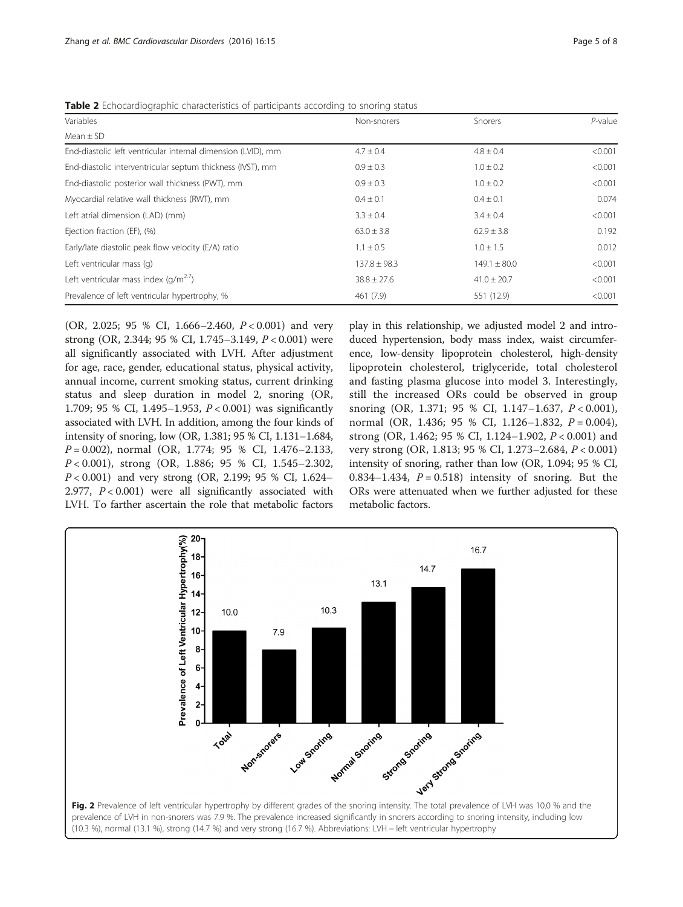| <b>TWAIS A</b> ECHOCardiographic characteristics of participants according to shoring status |                  |                  |            |  |  |  |  |
|----------------------------------------------------------------------------------------------|------------------|------------------|------------|--|--|--|--|
| Variables                                                                                    | Non-snorers      | <b>Snorers</b>   | $P$ -value |  |  |  |  |
| Mean $\pm$ SD                                                                                |                  |                  |            |  |  |  |  |
| End-diastolic left ventricular internal dimension (LVID), mm                                 | $4.7 \pm 0.4$    | $4.8 \pm 0.4$    | < 0.001    |  |  |  |  |
| End-diastolic interventricular septum thickness (IVST), mm                                   | $0.9 \pm 0.3$    | $1.0 \pm 0.2$    | < 0.001    |  |  |  |  |
| End-diastolic posterior wall thickness (PWT), mm                                             | $0.9 \pm 0.3$    | $1.0 \pm 0.2$    | < 0.001    |  |  |  |  |
| Myocardial relative wall thickness (RWT), mm                                                 | $0.4 \pm 0.1$    | $0.4 \pm 0.1$    | 0.074      |  |  |  |  |
| Left atrial dimension (LAD) (mm)                                                             | $3.3 \pm 0.4$    | $3.4 \pm 0.4$    | < 0.001    |  |  |  |  |
| Ejection fraction (EF), (%)                                                                  | $63.0 \pm 3.8$   | $62.9 \pm 3.8$   | 0.192      |  |  |  |  |
| Early/late diastolic peak flow velocity (E/A) ratio                                          | $1.1 \pm 0.5$    | $1.0 \pm 1.5$    | 0.012      |  |  |  |  |
| Left ventricular mass (q)                                                                    | $137.8 \pm 98.3$ | $149.1 \pm 80.0$ | < 0.001    |  |  |  |  |
| Left ventricular mass index $(q/m^{2.7})$                                                    | $38.8 \pm 27.6$  | $41.0 \pm 20.7$  | < 0.001    |  |  |  |  |
| Prevalence of left ventricular hypertrophy, %                                                | 461 (7.9)        | 551 (12.9)       | < 0.001    |  |  |  |  |
|                                                                                              |                  |                  |            |  |  |  |  |

<span id="page-4-0"></span>**Table 2** Echocardiographic characteristics of participants according to snoring status

(OR, 2.025; 95 % CI, 1.666–2.460,  $P < 0.001$ ) and very strong (OR, 2.344; 95 % CI, 1.745–3.149, P < 0.001) were all significantly associated with LVH. After adjustment for age, race, gender, educational status, physical activity, annual income, current smoking status, current drinking status and sleep duration in model 2, snoring (OR, 1.709; 95 % CI, 1.495–1.953, P < 0.001) was significantly associated with LVH. In addition, among the four kinds of intensity of snoring, low (OR, 1.381; 95 % CI, 1.131–1.684,  $P = 0.002$ ), normal (OR, 1.774; 95 % CI, 1.476-2.133, P < 0.001), strong (OR, 1.886; 95 % CI, 1.545–2.302,  $P < 0.001$ ) and very strong (OR, 2.199; 95 % CI, 1.624– 2.977,  $P < 0.001$ ) were all significantly associated with LVH. To farther ascertain the role that metabolic factors

play in this relationship, we adjusted model 2 and introduced hypertension, body mass index, waist circumference, low-density lipoprotein cholesterol, high-density lipoprotein cholesterol, triglyceride, total cholesterol and fasting plasma glucose into model 3. Interestingly, still the increased ORs could be observed in group snoring (OR, 1.371; 95 % CI, 1.147–1.637,  $P < 0.001$ ), normal (OR, 1.436; 95 % CI, 1.126-1.832,  $P = 0.004$ ), strong (OR, 1.462; 95 % CI, 1.124–1.902, P < 0.001) and very strong (OR, 1.813; 95 % CI, 1.273–2.684, P < 0.001) intensity of snoring, rather than low (OR, 1.094; 95 % CI,  $0.834-1.434$ ,  $P = 0.518$  intensity of snoring. But the ORs were attenuated when we further adjusted for these metabolic factors.

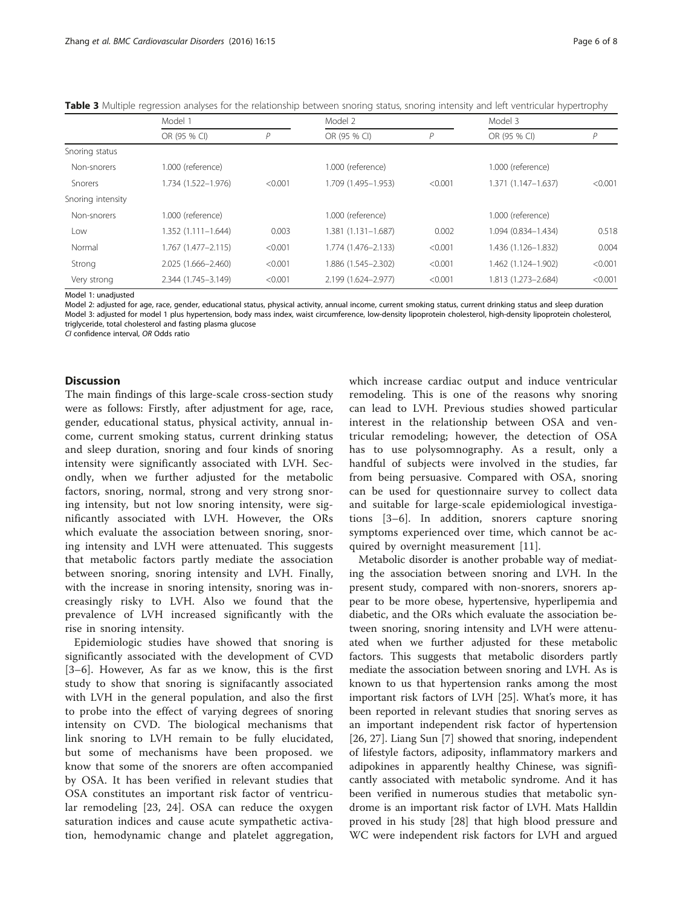|                   | Model 1             |              | Model 2             |         | Model 3             |         |
|-------------------|---------------------|--------------|---------------------|---------|---------------------|---------|
|                   | OR (95 % CI)        | $\mathsf{P}$ | OR (95 % CI)        | Р       | OR (95 % CI)        | P       |
| Snoring status    |                     |              |                     |         |                     |         |
| Non-snorers       | 1.000 (reference)   |              | 1.000 (reference)   |         | 1.000 (reference)   |         |
| <b>Snorers</b>    | 1.734 (1.522-1.976) | < 0.001      | 1.709 (1.495-1.953) | < 0.001 | 1.371 (1.147-1.637) | < 0.001 |
| Snoring intensity |                     |              |                     |         |                     |         |
| Non-snorers       | 1.000 (reference)   |              | 1.000 (reference)   |         | 1.000 (reference)   |         |
| Low               | 1.352 (1.111–1.644) | 0.003        | 1.381 (1.131-1.687) | 0.002   | 1.094 (0.834-1.434) | 0.518   |
| Normal            | 1.767 (1.477–2.115) | < 0.001      | 1.774 (1.476-2.133) | < 0.001 | 1.436 (1.126-1.832) | 0.004   |
| Strong            | 2.025 (1.666-2.460) | < 0.001      | 1.886 (1.545-2.302) | < 0.001 | 1.462 (1.124-1.902) | < 0.001 |
| Very strong       | 2.344 (1.745-3.149) | < 0.001      | 2.199 (1.624-2.977) | < 0.001 | 1.813 (1.273-2.684) | < 0.001 |

<span id="page-5-0"></span>Table 3 Multiple regression analyses for the relationship between snoring status, snoring intensity and left ventricular hypertrophy

Model 1: unadjusted

Model 2: adjusted for age, race, gender, educational status, physical activity, annual income, current smoking status, current drinking status and sleep duration Model 3: adjusted for model 1 plus hypertension, body mass index, waist circumference, low-density lipoprotein cholesterol, high-density lipoprotein cholesterol, triglyceride, total cholesterol and fasting plasma glucose

CI confidence interval, OR Odds ratio

## **Discussion**

The main findings of this large-scale cross-section study were as follows: Firstly, after adjustment for age, race, gender, educational status, physical activity, annual income, current smoking status, current drinking status and sleep duration, snoring and four kinds of snoring intensity were significantly associated with LVH. Secondly, when we further adjusted for the metabolic factors, snoring, normal, strong and very strong snoring intensity, but not low snoring intensity, were significantly associated with LVH. However, the ORs which evaluate the association between snoring, snoring intensity and LVH were attenuated. This suggests that metabolic factors partly mediate the association between snoring, snoring intensity and LVH. Finally, with the increase in snoring intensity, snoring was increasingly risky to LVH. Also we found that the prevalence of LVH increased significantly with the rise in snoring intensity.

Epidemiologic studies have showed that snoring is significantly associated with the development of CVD [[3](#page-6-0)–[6\]](#page-6-0). However, As far as we know, this is the first study to show that snoring is signifacantly associated with LVH in the general population, and also the first to probe into the effect of varying degrees of snoring intensity on CVD. The biological mechanisms that link snoring to LVH remain to be fully elucidated, but some of mechanisms have been proposed. we know that some of the snorers are often accompanied by OSA. It has been verified in relevant studies that OSA constitutes an important risk factor of ventricular remodeling [[23, 24](#page-7-0)]. OSA can reduce the oxygen saturation indices and cause acute sympathetic activation, hemodynamic change and platelet aggregation, which increase cardiac output and induce ventricular remodeling. This is one of the reasons why snoring can lead to LVH. Previous studies showed particular interest in the relationship between OSA and ventricular remodeling; however, the detection of OSA has to use polysomnography. As a result, only a handful of subjects were involved in the studies, far from being persuasive. Compared with OSA, snoring can be used for questionnaire survey to collect data and suitable for large-scale epidemiological investigations [[3](#page-6-0)–[6\]](#page-6-0). In addition, snorers capture snoring symptoms experienced over time, which cannot be acquired by overnight measurement [\[11](#page-6-0)].

Metabolic disorder is another probable way of mediating the association between snoring and LVH. In the present study, compared with non-snorers, snorers appear to be more obese, hypertensive, hyperlipemia and diabetic, and the ORs which evaluate the association between snoring, snoring intensity and LVH were attenuated when we further adjusted for these metabolic factors. This suggests that metabolic disorders partly mediate the association between snoring and LVH. As is known to us that hypertension ranks among the most important risk factors of LVH [\[25](#page-7-0)]. What's more, it has been reported in relevant studies that snoring serves as an important independent risk factor of hypertension [[26, 27\]](#page-7-0). Liang Sun [\[7](#page-6-0)] showed that snoring, independent of lifestyle factors, adiposity, inflammatory markers and adipokines in apparently healthy Chinese, was significantly associated with metabolic syndrome. And it has been verified in numerous studies that metabolic syndrome is an important risk factor of LVH. Mats Halldin proved in his study [\[28\]](#page-7-0) that high blood pressure and WC were independent risk factors for LVH and argued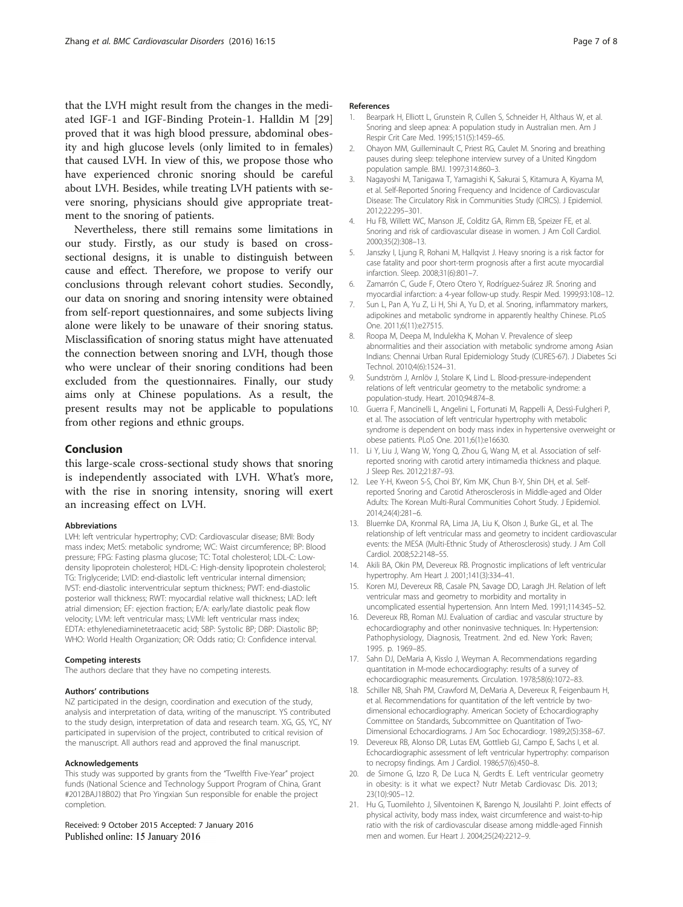<span id="page-6-0"></span>that the LVH might result from the changes in the mediated IGF-1 and IGF-Binding Protein-1. Halldin M [[29](#page-7-0)] proved that it was high blood pressure, abdominal obesity and high glucose levels (only limited to in females) that caused LVH. In view of this, we propose those who have experienced chronic snoring should be careful about LVH. Besides, while treating LVH patients with severe snoring, physicians should give appropriate treatment to the snoring of patients.

Nevertheless, there still remains some limitations in our study. Firstly, as our study is based on crosssectional designs, it is unable to distinguish between cause and effect. Therefore, we propose to verify our conclusions through relevant cohort studies. Secondly, our data on snoring and snoring intensity were obtained from self-report questionnaires, and some subjects living alone were likely to be unaware of their snoring status. Misclassification of snoring status might have attenuated the connection between snoring and LVH, though those who were unclear of their snoring conditions had been excluded from the questionnaires. Finally, our study aims only at Chinese populations. As a result, the present results may not be applicable to populations from other regions and ethnic groups.

## Conclusion

this large-scale cross-sectional study shows that snoring is independently associated with LVH. What's more, with the rise in snoring intensity, snoring will exert an increasing effect on LVH.

#### Abbreviations

LVH: left ventricular hypertrophy; CVD: Cardiovascular disease; BMI: Body mass index; MetS: metabolic syndrome; WC: Waist circumference; BP: Blood pressure; FPG: Fasting plasma glucose; TC: Total cholesterol; LDL-C: Lowdensity lipoprotein cholesterol; HDL-C: High-density lipoprotein cholesterol; TG: Triglyceride; LVID: end-diastolic left ventricular internal dimension; IVST: end-diastolic interventricular septum thickness; PWT: end-diastolic posterior wall thickness; RWT: myocardial relative wall thickness; LAD: left atrial dimension; EF: ejection fraction; E/A: early/late diastolic peak flow velocity; LVM: left ventricular mass; LVMI: left ventricular mass index; EDTA: ethylenediaminetetraacetic acid; SBP: Systolic BP; DBP: Diastolic BP; WHO: World Health Organization; OR: Odds ratio; CI: Confidence interval.

#### Competing interests

The authors declare that they have no competing interests.

#### Authors' contributions

NZ participated in the design, coordination and execution of the study, analysis and interpretation of data, writing of the manuscript. YS contributed to the study design, interpretation of data and research team. XG, GS, YC, NY participated in supervision of the project, contributed to critical revision of the manuscript. All authors read and approved the final manuscript.

#### Acknowledgements

This study was supported by grants from the "Twelfth Five-Year" project funds (National Science and Technology Support Program of China, Grant #2012BAJ18B02) that Pro Yingxian Sun responsible for enable the project completion.

Received: 9 October 2015 Accepted: 7 January 2016 Published online: 15 January 2016

### References

- 1. Bearpark H, Elliott L, Grunstein R, Cullen S, Schneider H, Althaus W, et al. Snoring and sleep apnea: A population study in Australian men. Am J Respir Crit Care Med. 1995;151(5):1459–65.
- 2. Ohayon MM, Guilleminault C, Priest RG, Caulet M. Snoring and breathing pauses during sleep: telephone interview survey of a United Kingdom population sample. BMJ. 1997;314:860–3.
- 3. Nagayoshi M, Tanigawa T, Yamagishi K, Sakurai S, Kitamura A, Kiyama M, et al. Self-Reported Snoring Frequency and Incidence of Cardiovascular Disease: The Circulatory Risk in Communities Study (CIRCS). J Epidemiol. 2012;22:295–301.
- 4. Hu FB, Willett WC, Manson JE, Colditz GA, Rimm EB, Speizer FE, et al. Snoring and risk of cardiovascular disease in women. J Am Coll Cardiol. 2000;35(2):308–13.
- 5. Janszky I, Ljung R, Rohani M, Hallqvist J. Heavy snoring is a risk factor for case fatality and poor short-term prognosis after a first acute myocardial infarction. Sleep. 2008;31(6):801–7.
- 6. Zamarrón C, Gude F, Otero Otero Y, Rodríguez-Suárez JR. Snoring and myocardial infarction: a 4-year follow-up study. Respir Med. 1999;93:108–12.
- 7. Sun L, Pan A, Yu Z, Li H, Shi A, Yu D, et al. Snoring, inflammatory markers, adipokines and metabolic syndrome in apparently healthy Chinese. PLoS One. 2011;6(11):e27515.
- 8. Roopa M, Deepa M, Indulekha K, Mohan V. Prevalence of sleep abnormalities and their association with metabolic syndrome among Asian Indians: Chennai Urban Rural Epidemiology Study (CURES-67). J Diabetes Sci Technol. 2010;4(6):1524–31.
- 9. Sundström J, Arnlöv J, Stolare K, Lind L. Blood-pressure-independent relations of left ventricular geometry to the metabolic syndrome: a population-study. Heart. 2010;94:874–8.
- 10. Guerra F, Mancinelli L, Angelini L, Fortunati M, Rappelli A, Dessì-Fulgheri P, et al. The association of left ventricular hypertrophy with metabolic syndrome is dependent on body mass index in hypertensive overweight or obese patients. PLoS One. 2011;6(1):e16630.
- 11. Li Y, Liu J, Wang W, Yong Q, Zhou G, Wang M, et al. Association of selfreported snoring with carotid artery intimamedia thickness and plaque. J Sleep Res. 2012;21:87–93.
- 12. Lee Y-H, Kweon S-S, Choi BY, Kim MK, Chun B-Y, Shin DH, et al. Selfreported Snoring and Carotid Atherosclerosis in Middle-aged and Older Adults: The Korean Multi-Rural Communities Cohort Study. J Epidemiol. 2014;24(4):281–6.
- 13. Bluemke DA, Kronmal RA, Lima JA, Liu K, Olson J, Burke GL, et al. The relationship of left ventricular mass and geometry to incident cardiovascular events: the MESA (Multi-Ethnic Study of Atherosclerosis) study. J Am Coll Cardiol. 2008;52:2148–55.
- 14. Akili BA, Okin PM, Devereux RB. Prognostic implications of left ventricular hypertrophy. Am Heart J. 2001;141(3):334–41.
- 15. Koren MJ, Devereux RB, Casale PN, Savage DD, Laragh JH. Relation of left ventricular mass and geometry to morbidity and mortality in uncomplicated essential hypertension. Ann Intern Med. 1991;114:345–52.
- 16. Devereux RB, Roman MJ. Evaluation of cardiac and vascular structure by echocardiography and other noninvasive techniques. In: Hypertension: Pathophysiology, Diagnosis, Treatment. 2nd ed. New York: Raven; 1995. p. 1969–85.
- 17. Sahn DJ, DeMaria A, Kisslo J, Weyman A. Recommendations regarding quantitation in M-mode echocardiography: results of a survey of echocardiographic measurements. Circulation. 1978;58(6):1072–83.
- 18. Schiller NB, Shah PM, Crawford M, DeMaria A, Devereux R, Feigenbaum H, et al. Recommendations for quantitation of the left ventricle by twodimensional echocardiography. American Society of Echocardiography Committee on Standards, Subcommittee on Quantitation of Two-Dimensional Echocardiograms. J Am Soc Echocardiogr. 1989;2(5):358–67.
- 19. Devereux RB, Alonso DR, Lutas EM, Gottlieb GJ, Campo E, Sachs I, et al. Echocardiographic assessment of left ventricular hypertrophy: comparison to necropsy findings. Am J Cardiol. 1986;57(6):450–8.
- 20. de Simone G, Izzo R, De Luca N, Gerdts E. Left ventricular geometry in obesity: is it what we expect? Nutr Metab Cardiovasc Dis. 2013; 23(10):905–12.
- 21. Hu G, Tuomilehto J, Silventoinen K, Barengo N, Jousilahti P. Joint effects of physical activity, body mass index, waist circumference and waist-to-hip ratio with the risk of cardiovascular disease among middle-aged Finnish men and women. Eur Heart J. 2004;25(24):2212–9.